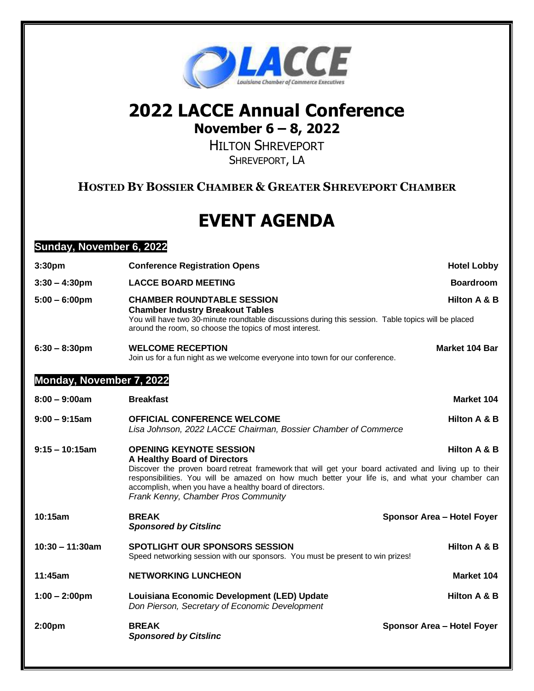

## **2022 LACCE Annual Conference November 6 – 8, 2022**

HILTON SHREVEPORT SHREVEPORT, LA

## **HOSTED BY BOSSIER CHAMBER & GREATER SHREVEPORT CHAMBER**

## **EVENT AGENDA**

## **Sunday, November 6, 2022**

| 3:30 <sub>pm</sub>       | <b>Conference Registration Opens</b>                                                                                                                                                                                                                                                                                                                                                         | <b>Hotel Lobby</b>         |  |
|--------------------------|----------------------------------------------------------------------------------------------------------------------------------------------------------------------------------------------------------------------------------------------------------------------------------------------------------------------------------------------------------------------------------------------|----------------------------|--|
| $3:30 - 4:30$ pm         | <b>LACCE BOARD MEETING</b>                                                                                                                                                                                                                                                                                                                                                                   | <b>Boardroom</b>           |  |
| $5:00 - 6:00$ pm         | <b>CHAMBER ROUNDTABLE SESSION</b><br><b>Chamber Industry Breakout Tables</b><br>You will have two 30-minute roundtable discussions during this session. Table topics will be placed<br>around the room, so choose the topics of most interest.                                                                                                                                               | Hilton A & B               |  |
| $6:30 - 8:30$ pm         | <b>WELCOME RECEPTION</b><br>Join us for a fun night as we welcome everyone into town for our conference.                                                                                                                                                                                                                                                                                     | Market 104 Bar             |  |
| Monday, November 7, 2022 |                                                                                                                                                                                                                                                                                                                                                                                              |                            |  |
| $8:00 - 9:00$ am         | <b>Breakfast</b>                                                                                                                                                                                                                                                                                                                                                                             | Market 104                 |  |
| $9:00 - 9:15$ am         | <b>OFFICIAL CONFERENCE WELCOME</b><br>Lisa Johnson, 2022 LACCE Chairman, Bossier Chamber of Commerce                                                                                                                                                                                                                                                                                         | Hilton A & B               |  |
| $9:15 - 10:15$ am        | <b>OPENING KEYNOTE SESSION</b><br>Hilton A & B<br>A Healthy Board of Directors<br>Discover the proven board retreat framework that will get your board activated and living up to their<br>responsibilities. You will be amazed on how much better your life is, and what your chamber can<br>accomplish, when you have a healthy board of directors.<br>Frank Kenny, Chamber Pros Community |                            |  |
| 10:15am                  | <b>BREAK</b><br><b>Sponsored by Citslinc</b>                                                                                                                                                                                                                                                                                                                                                 | Sponsor Area - Hotel Foyer |  |
| $10:30 - 11:30am$        | <b>SPOTLIGHT OUR SPONSORS SESSION</b><br>Speed networking session with our sponsors. You must be present to win prizes!                                                                                                                                                                                                                                                                      | Hilton A & B               |  |
| 11:45am                  | <b>NETWORKING LUNCHEON</b>                                                                                                                                                                                                                                                                                                                                                                   | Market 104                 |  |
| $1:00 - 2:00$ pm         | Louisiana Economic Development (LED) Update<br>Don Pierson, Secretary of Economic Development                                                                                                                                                                                                                                                                                                | Hilton A & B               |  |
| 2:00 <sub>pm</sub>       | <b>BREAK</b><br><b>Sponsored by Citslinc</b>                                                                                                                                                                                                                                                                                                                                                 | Sponsor Area - Hotel Foyer |  |